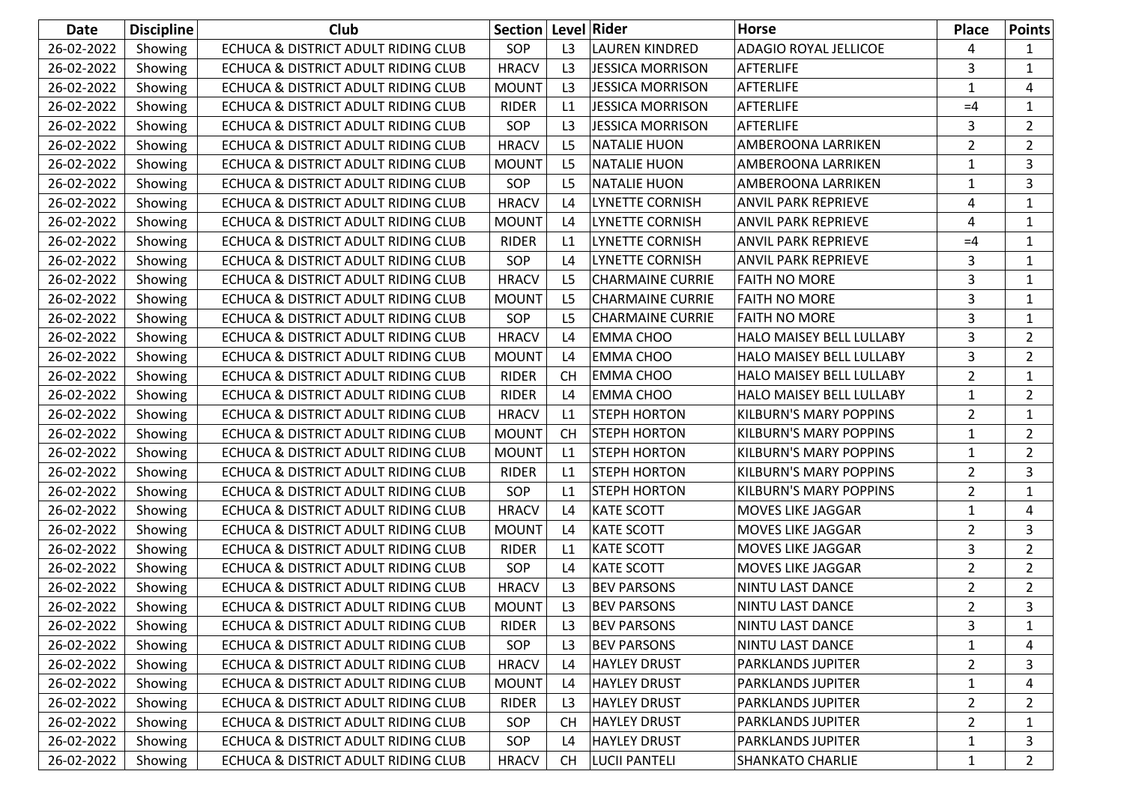| Date       | <b>Discipline</b> | <b>Club</b>                         | Section   Level   Rider |                |                         | <b>Horse</b>                    | <b>Place</b>   | <b>Points</b>  |
|------------|-------------------|-------------------------------------|-------------------------|----------------|-------------------------|---------------------------------|----------------|----------------|
| 26-02-2022 | Showing           | ECHUCA & DISTRICT ADULT RIDING CLUB | SOP                     | L3             | <b>LAUREN KINDRED</b>   | <b>ADAGIO ROYAL JELLICOE</b>    | 4              | 1              |
| 26-02-2022 | Showing           | ECHUCA & DISTRICT ADULT RIDING CLUB | <b>HRACV</b>            | L <sub>3</sub> | <b>JESSICA MORRISON</b> | <b>AFTERLIFE</b>                | 3              | 1              |
| 26-02-2022 | Showing           | ECHUCA & DISTRICT ADULT RIDING CLUB | <b>MOUNT</b>            | L3             | <b>JESSICA MORRISON</b> | AFTERLIFE                       | 1              | 4              |
| 26-02-2022 | Showing           | ECHUCA & DISTRICT ADULT RIDING CLUB | <b>RIDER</b>            | L1             | <b>JESSICA MORRISON</b> | AFTERLIFE                       | $=4$           | 1              |
| 26-02-2022 | Showing           | ECHUCA & DISTRICT ADULT RIDING CLUB | SOP                     | L <sub>3</sub> | <b>JESSICA MORRISON</b> | AFTERLIFE                       | 3              | $\overline{2}$ |
| 26-02-2022 | Showing           | ECHUCA & DISTRICT ADULT RIDING CLUB | <b>HRACV</b>            | L <sub>5</sub> | <b>NATALIE HUON</b>     | AMBEROONA LARRIKEN              | $\overline{2}$ | $\overline{2}$ |
| 26-02-2022 | Showing           | ECHUCA & DISTRICT ADULT RIDING CLUB | <b>MOUNT</b>            | L <sub>5</sub> | <b>NATALIE HUON</b>     | AMBEROONA LARRIKEN              | $\mathbf{1}$   | 3              |
| 26-02-2022 | Showing           | ECHUCA & DISTRICT ADULT RIDING CLUB | SOP                     | L <sub>5</sub> | <b>NATALIE HUON</b>     | <b>AMBEROONA LARRIKEN</b>       | 1              | 3              |
| 26-02-2022 | Showing           | ECHUCA & DISTRICT ADULT RIDING CLUB | <b>HRACV</b>            | L4             | <b>LYNETTE CORNISH</b>  | <b>ANVIL PARK REPRIEVE</b>      | 4              | 1              |
| 26-02-2022 | Showing           | ECHUCA & DISTRICT ADULT RIDING CLUB | <b>MOUNT</b>            | L4             | <b>LYNETTE CORNISH</b>  | <b>ANVIL PARK REPRIEVE</b>      | 4              | $\mathbf{1}$   |
| 26-02-2022 | Showing           | ECHUCA & DISTRICT ADULT RIDING CLUB | <b>RIDER</b>            | L1             | LYNETTE CORNISH         | <b>ANVIL PARK REPRIEVE</b>      | $=4$           | 1              |
| 26-02-2022 | Showing           | ECHUCA & DISTRICT ADULT RIDING CLUB | SOP                     | L4             | <b>LYNETTE CORNISH</b>  | <b>ANVIL PARK REPRIEVE</b>      | 3              | 1              |
| 26-02-2022 | Showing           | ECHUCA & DISTRICT ADULT RIDING CLUB | <b>HRACV</b>            | L <sub>5</sub> | <b>CHARMAINE CURRIE</b> | <b>FAITH NO MORE</b>            | 3              | 1              |
| 26-02-2022 | Showing           | ECHUCA & DISTRICT ADULT RIDING CLUB | <b>MOUNT</b>            | L <sub>5</sub> | <b>CHARMAINE CURRIE</b> | <b>FAITH NO MORE</b>            | 3              | 1              |
| 26-02-2022 | Showing           | ECHUCA & DISTRICT ADULT RIDING CLUB | SOP                     | L <sub>5</sub> | <b>CHARMAINE CURRIE</b> | <b>FAITH NO MORE</b>            | 3              | 1              |
| 26-02-2022 | Showing           | ECHUCA & DISTRICT ADULT RIDING CLUB | <b>HRACV</b>            | L4             | <b>EMMA CHOO</b>        | <b>HALO MAISEY BELL LULLABY</b> | 3              | $\overline{2}$ |
| 26-02-2022 | Showing           | ECHUCA & DISTRICT ADULT RIDING CLUB | <b>MOUNT</b>            | L4             | <b>EMMA CHOO</b>        | HALO MAISEY BELL LULLABY        | 3              | $\overline{2}$ |
| 26-02-2022 | Showing           | ECHUCA & DISTRICT ADULT RIDING CLUB | <b>RIDER</b>            | <b>CH</b>      | <b>EMMA CHOO</b>        | HALO MAISEY BELL LULLABY        | $\overline{2}$ | 1              |
| 26-02-2022 | Showing           | ECHUCA & DISTRICT ADULT RIDING CLUB | <b>RIDER</b>            | L4             | <b>EMMA CHOO</b>        | HALO MAISEY BELL LULLABY        | 1              | $\overline{2}$ |
| 26-02-2022 | Showing           | ECHUCA & DISTRICT ADULT RIDING CLUB | <b>HRACV</b>            | L1             | <b>STEPH HORTON</b>     | <b>KILBURN'S MARY POPPINS</b>   | $\overline{2}$ | $\mathbf{1}$   |
| 26-02-2022 | Showing           | ECHUCA & DISTRICT ADULT RIDING CLUB | <b>MOUNT</b>            | <b>CH</b>      | <b>STEPH HORTON</b>     | <b>KILBURN'S MARY POPPINS</b>   | $\mathbf{1}$   | $\overline{2}$ |
| 26-02-2022 | Showing           | ECHUCA & DISTRICT ADULT RIDING CLUB | <b>MOUNT</b>            | L1             | <b>STEPH HORTON</b>     | <b>KILBURN'S MARY POPPINS</b>   | $\mathbf{1}$   | $\overline{2}$ |
| 26-02-2022 | Showing           | ECHUCA & DISTRICT ADULT RIDING CLUB | <b>RIDER</b>            | L1             | <b>STEPH HORTON</b>     | <b>KILBURN'S MARY POPPINS</b>   | $\overline{2}$ | 3              |
| 26-02-2022 | Showing           | ECHUCA & DISTRICT ADULT RIDING CLUB | SOP                     | L1             | <b>STEPH HORTON</b>     | <b>KILBURN'S MARY POPPINS</b>   | $\overline{2}$ | 1              |
| 26-02-2022 | Showing           | ECHUCA & DISTRICT ADULT RIDING CLUB | <b>HRACV</b>            | L4             | <b>KATE SCOTT</b>       | MOVES LIKE JAGGAR               | $\mathbf{1}$   | 4              |
| 26-02-2022 | Showing           | ECHUCA & DISTRICT ADULT RIDING CLUB | <b>MOUNT</b>            | L4             | <b>KATE SCOTT</b>       | <b>MOVES LIKE JAGGAR</b>        | $\overline{2}$ | 3              |
| 26-02-2022 | Showing           | ECHUCA & DISTRICT ADULT RIDING CLUB | <b>RIDER</b>            | L1             | <b>KATE SCOTT</b>       | MOVES LIKE JAGGAR               | 3              | $\overline{2}$ |
| 26-02-2022 | Showing           | ECHUCA & DISTRICT ADULT RIDING CLUB | SOP                     | L4             | <b>KATE SCOTT</b>       | <b>MOVES LIKE JAGGAR</b>        | $\overline{2}$ | $\overline{2}$ |
| 26-02-2022 | Showing           | ECHUCA & DISTRICT ADULT RIDING CLUB | <b>HRACV</b>            | L3             | <b>BEV PARSONS</b>      | <b>NINTU LAST DANCE</b>         | $\overline{2}$ | 2              |
| 26-02-2022 | Showing           | ECHUCA & DISTRICT ADULT RIDING CLUB | <b>MOUNT</b>            | L <sub>3</sub> | <b>BEV PARSONS</b>      | NINTU LAST DANCE                | $\overline{2}$ | 3              |
| 26-02-2022 | Showing           | ECHUCA & DISTRICT ADULT RIDING CLUB | RIDER                   | L <sub>3</sub> | <b>BEV PARSONS</b>      | <b>NINTU LAST DANCE</b>         | 3              | 1              |
| 26-02-2022 | Showing           | ECHUCA & DISTRICT ADULT RIDING CLUB | SOP                     | L3             | <b>BEV PARSONS</b>      | NINTU LAST DANCE                | 1              | 4              |
| 26-02-2022 | Showing           | ECHUCA & DISTRICT ADULT RIDING CLUB | <b>HRACV</b>            | L4             | <b>HAYLEY DRUST</b>     | PARKLANDS JUPITER               | $\overline{2}$ | 3              |
| 26-02-2022 | Showing           | ECHUCA & DISTRICT ADULT RIDING CLUB | <b>MOUNT</b>            | $\mathsf{L}4$  | <b>HAYLEY DRUST</b>     | PARKLANDS JUPITER               | $\mathbf{1}$   | 4              |
| 26-02-2022 | Showing           | ECHUCA & DISTRICT ADULT RIDING CLUB | <b>RIDER</b>            | L <sub>3</sub> | <b>HAYLEY DRUST</b>     | PARKLANDS JUPITER               | $\overline{2}$ | 2              |
| 26-02-2022 | Showing           | ECHUCA & DISTRICT ADULT RIDING CLUB | SOP                     | CH             | <b>HAYLEY DRUST</b>     | PARKLANDS JUPITER               | $\overline{2}$ | 1              |
| 26-02-2022 | Showing           | ECHUCA & DISTRICT ADULT RIDING CLUB | SOP                     | L4             | <b>HAYLEY DRUST</b>     | PARKLANDS JUPITER               | $\mathbf{1}$   | 3              |
| 26-02-2022 | Showing           | ECHUCA & DISTRICT ADULT RIDING CLUB | <b>HRACV</b>            | CH.            | <b>LUCII PANTELI</b>    | <b>SHANKATO CHARLIE</b>         | $\mathbf{1}$   | $\overline{2}$ |